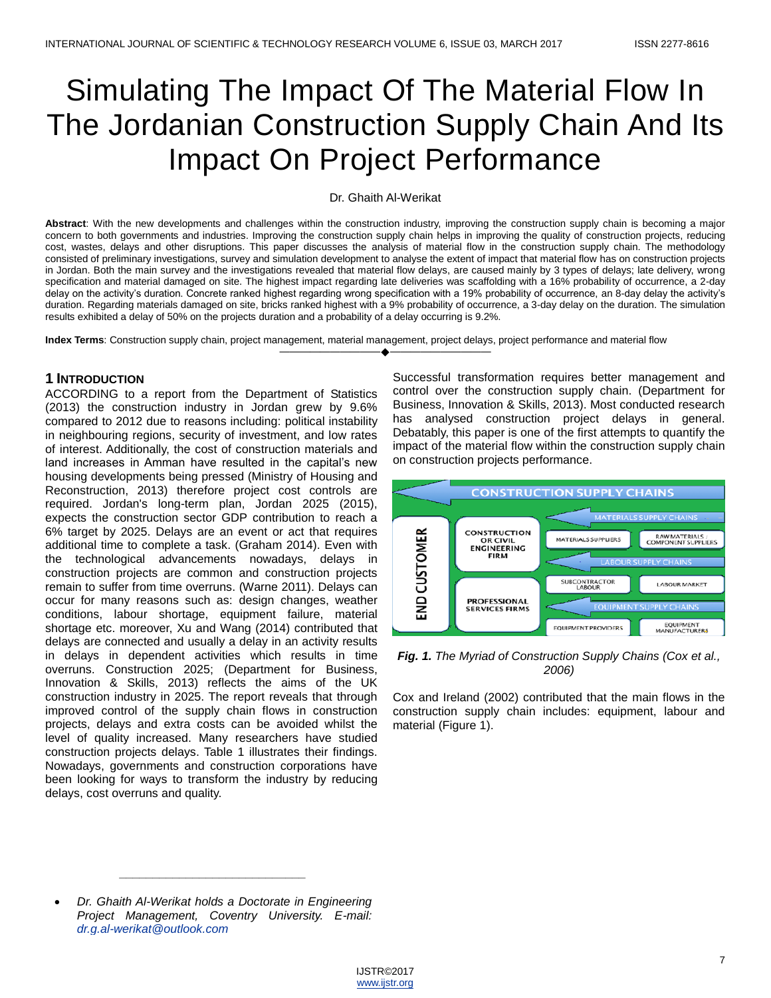# Simulating The Impact Of The Material Flow In The Jordanian Construction Supply Chain And Its Impact On Project Performance

#### Dr. Ghaith Al-Werikat

**Abstract**: With the new developments and challenges within the construction industry, improving the construction supply chain is becoming a major concern to both governments and industries. Improving the construction supply chain helps in improving the quality of construction projects, reducing cost, wastes, delays and other disruptions. This paper discusses the analysis of material flow in the construction supply chain. The methodology consisted of preliminary investigations, survey and simulation development to analyse the extent of impact that material flow has on construction projects in Jordan. Both the main survey and the investigations revealed that material flow delays, are caused mainly by 3 types of delays; late delivery, wrong specification and material damaged on site. The highest impact regarding late deliveries was scaffolding with a 16% probability of occurrence, a 2-day delay on the activity's duration. Concrete ranked highest regarding wrong specification with a 19% probability of occurrence, an 8-day delay the activity's duration. Regarding materials damaged on site, bricks ranked highest with a 9% probability of occurrence, a 3-day delay on the duration. The simulation results exhibited a delay of 50% on the projects duration and a probability of a delay occurring is 9.2%.

————————————————————

**Index Terms**: Construction supply chain, project management, material management, project delays, project performance and material flow

#### **1 INTRODUCTION**

ACCORDING to a report from the Department of Statistics (2013) the construction industry in Jordan grew by 9.6% compared to 2012 due to reasons including: political instability in neighbouring regions, security of investment, and low rates of interest. Additionally, the cost of construction materials and land increases in Amman have resulted in the capital's new housing developments being pressed (Ministry of Housing and Reconstruction, 2013) therefore project cost controls are required. Jordan's long-term plan, Jordan 2025 (2015), expects the construction sector GDP contribution to reach a 6% target by 2025. Delays are an event or act that requires additional time to complete a task. (Graham 2014). Even with the technological advancements nowadays, delays in construction projects are common and construction projects remain to suffer from time overruns. (Warne 2011). Delays can occur for many reasons such as: design changes, weather conditions, labour shortage, equipment failure, material shortage etc. moreover, Xu and Wang (2014) contributed that delays are connected and usually a delay in an activity results in delays in dependent activities which results in time overruns. Construction 2025; (Department for Business, Innovation & Skills, 2013) reflects the aims of the UK construction industry in 2025. The report reveals that through improved control of the supply chain flows in construction projects, delays and extra costs can be avoided whilst the level of quality increased. Many researchers have studied construction projects delays. Table 1 illustrates their findings. Nowadays, governments and construction corporations have been looking for ways to transform the industry by reducing delays, cost overruns and quality.

Successful transformation requires better management and control over the construction supply chain. (Department for Business, Innovation & Skills, 2013). Most conducted research has analysed construction project delays in general. Debatably, this paper is one of the first attempts to quantify the impact of the material flow within the construction supply chain on construction projects performance.



*Fig. 1. The Myriad of Construction Supply Chains (Cox et al., 2006)*

Cox and Ireland (2002) contributed that the main flows in the construction supply chain includes: equipment, labour and material (Figure 1).

*\_\_\_\_\_\_\_\_\_\_\_\_\_\_\_\_\_\_\_\_\_\_\_\_\_\_\_\_*

*Dr. Ghaith Al-Werikat holds a Doctorate in Engineering Project Management, Coventry University. E-mail: [dr.g.al-werikat@outlook.com](mailto:dr.g.al-werikat@outlook.com)*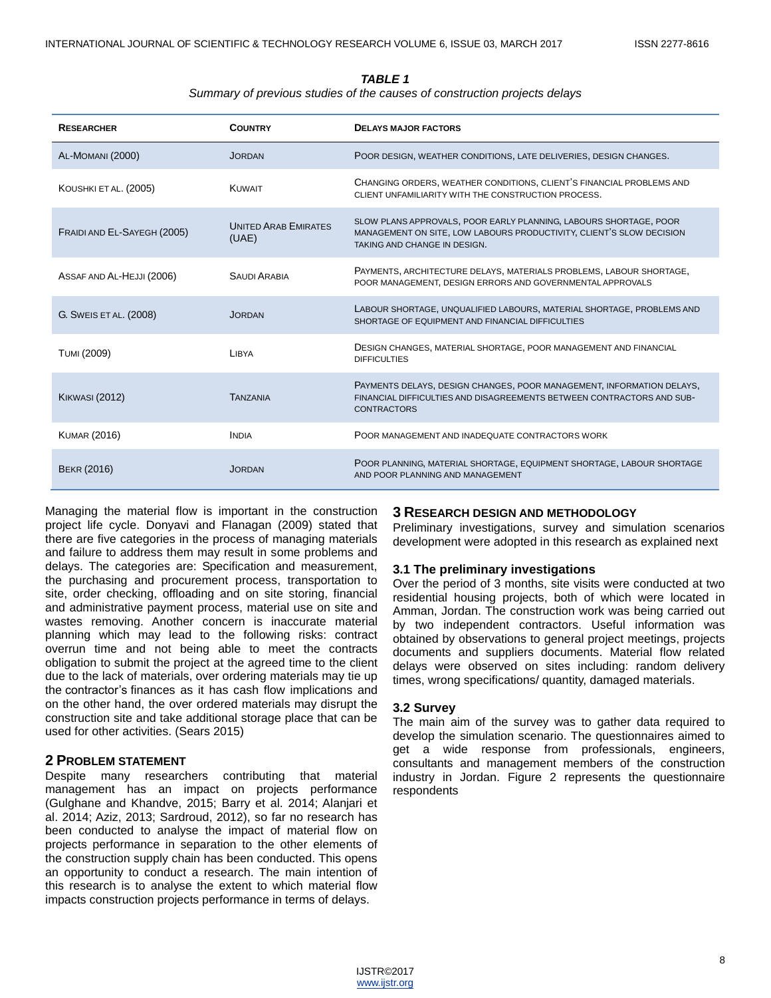#### *TABLE 1*

#### *Summary of previous studies of the causes of construction projects delays*

| <b>RESEARCHER</b>           | <b>COUNTRY</b>                       | <b>DELAYS MAJOR FACTORS</b>                                                                                                                                               |  |
|-----------------------------|--------------------------------------|---------------------------------------------------------------------------------------------------------------------------------------------------------------------------|--|
| AL-MOMANI (2000)            | <b>JORDAN</b>                        | POOR DESIGN, WEATHER CONDITIONS, LATE DELIVERIES, DESIGN CHANGES.                                                                                                         |  |
| KOUSHKI ET AL. (2005)       | <b>KUWAIT</b>                        | CHANGING ORDERS, WEATHER CONDITIONS, CLIENT'S FINANCIAL PROBLEMS AND<br>CLIENT UNFAMILIARITY WITH THE CONSTRUCTION PROCESS.                                               |  |
| FRAIDI AND EL-SAYEGH (2005) | <b>UNITED ARAB EMIRATES</b><br>(UAE) | SLOW PLANS APPROVALS, POOR EARLY PLANNING, LABOURS SHORTAGE, POOR<br>MANAGEMENT ON SITE, LOW LABOURS PRODUCTIVITY, CLIENT'S SLOW DECISION<br>TAKING AND CHANGE IN DESIGN. |  |
| ASSAF AND AL-HEJJI (2006)   | <b>SAUDI ARABIA</b>                  | PAYMENTS, ARCHITECTURE DELAYS, MATERIALS PROBLEMS, LABOUR SHORTAGE,<br>POOR MANAGEMENT, DESIGN ERRORS AND GOVERNMENTAL APPROVALS                                          |  |
| G. SWEIS ET AL. (2008)      | <b>JORDAN</b>                        | LABOUR SHORTAGE, UNQUALIFIED LABOURS, MATERIAL SHORTAGE, PROBLEMS AND<br>SHORTAGE OF EQUIPMENT AND FINANCIAL DIFFICULTIES                                                 |  |
| <b>TUMI (2009)</b>          | <b>I IBYA</b>                        | DESIGN CHANGES, MATERIAL SHORTAGE, POOR MANAGEMENT AND FINANCIAL<br><b>DIFFICULTIES</b>                                                                                   |  |
| <b>KIKWASI (2012)</b>       | <b>TANZANIA</b>                      | PAYMENTS DELAYS, DESIGN CHANGES, POOR MANAGEMENT, INFORMATION DELAYS,<br>FINANCIAL DIFFICULTIES AND DISAGREEMENTS BETWEEN CONTRACTORS AND SUB-<br><b>CONTRACTORS</b>      |  |
| <b>KUMAR (2016)</b>         | <b>INDIA</b>                         | POOR MANAGEMENT AND INADEQUATE CONTRACTORS WORK                                                                                                                           |  |
| <b>BEKR (2016)</b>          | JORDAN                               | POOR PLANNING, MATERIAL SHORTAGE, EQUIPMENT SHORTAGE, LABOUR SHORTAGE<br>AND POOR PLANNING AND MANAGEMENT                                                                 |  |

Managing the material flow is important in the construction project life cycle. Donyavi and Flanagan (2009) stated that there are five categories in the process of managing materials and failure to address them may result in some problems and delays. The categories are: Specification and measurement, the purchasing and procurement process, transportation to site, order checking, offloading and on site storing, financial and administrative payment process, material use on site and wastes removing. Another concern is inaccurate material planning which may lead to the following risks: contract overrun time and not being able to meet the contracts obligation to submit the project at the agreed time to the client due to the lack of materials, over ordering materials may tie up the contractor's finances as it has cash flow implications and on the other hand, the over ordered materials may disrupt the construction site and take additional storage place that can be used for other activities. (Sears 2015)

#### **2 PROBLEM STATEMENT**

Despite many researchers contributing that material management has an impact on projects performance (Gulghane and Khandve, 2015; Barry et al. 2014; Alanjari et al. 2014; Aziz, 2013; Sardroud, 2012), so far no research has been conducted to analyse the impact of material flow on projects performance in separation to the other elements of the construction supply chain has been conducted. This opens an opportunity to conduct a research. The main intention of this research is to analyse the extent to which material flow impacts construction projects performance in terms of delays.

#### **3 RESEARCH DESIGN AND METHODOLOGY**

Preliminary investigations, survey and simulation scenarios development were adopted in this research as explained next

#### **3.1 The preliminary investigations**

Over the period of 3 months, site visits were conducted at two residential housing projects, both of which were located in Amman, Jordan. The construction work was being carried out by two independent contractors. Useful information was obtained by observations to general project meetings, projects documents and suppliers documents. Material flow related delays were observed on sites including: random delivery times, wrong specifications/ quantity, damaged materials.

#### **3.2 Survey**

The main aim of the survey was to gather data required to develop the simulation scenario. The questionnaires aimed to get a wide response from professionals, engineers, consultants and management members of the construction industry in Jordan. Figure 2 represents the questionnaire respondents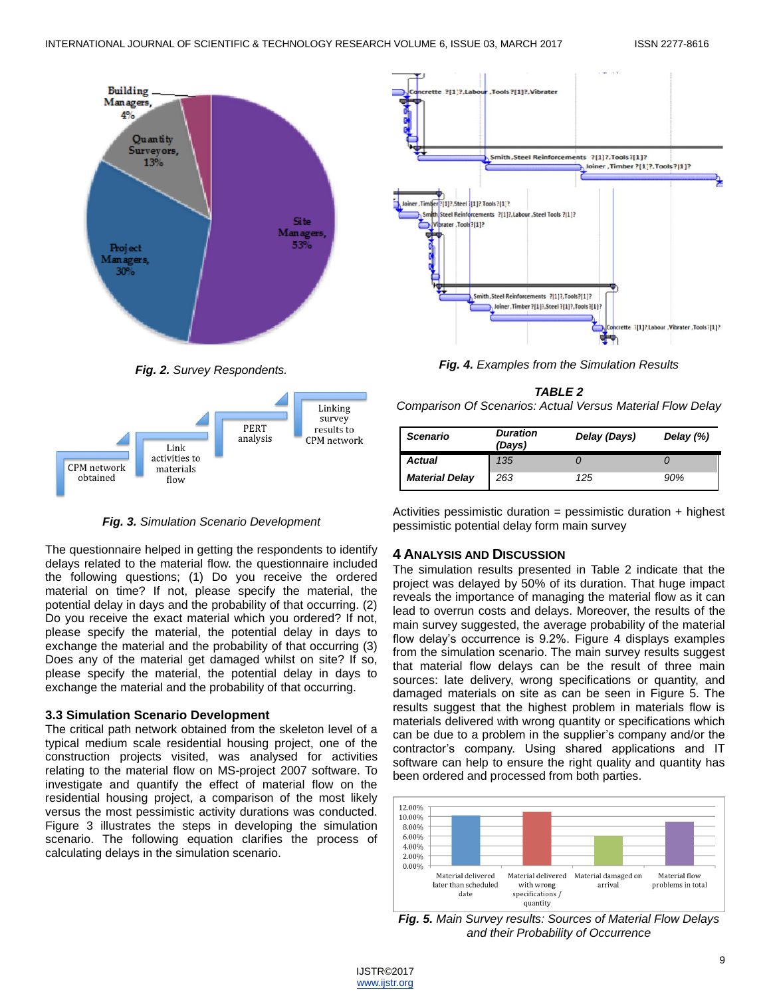

*Fig. 2. Survey Respondents.*



*Fig. 3. Simulation Scenario Development*

The questionnaire helped in getting the respondents to identify delays related to the material flow. the questionnaire included the following questions; (1) Do you receive the ordered material on time? If not, please specify the material, the potential delay in days and the probability of that occurring. (2) Do you receive the exact material which you ordered? If not, please specify the material, the potential delay in days to exchange the material and the probability of that occurring (3) Does any of the material get damaged whilst on site? If so, please specify the material, the potential delay in days to exchange the material and the probability of that occurring.

## **3.3 Simulation Scenario Development**

The critical path network obtained from the skeleton level of a typical medium scale residential housing project, one of the construction projects visited, was analysed for activities relating to the material flow on MS-project 2007 software. To investigate and quantify the effect of material flow on the residential housing project, a comparison of the most likely versus the most pessimistic activity durations was conducted. Figure 3 illustrates the steps in developing the simulation scenario. The following equation clarifies the process of calculating delays in the simulation scenario.



*Fig. 4. Examples from the Simulation Results*

*TABLE 2 Comparison Of Scenarios: Actual Versus Material Flow Delay*

| <b>Scenario</b>       | <b>Duration</b><br>(Days) | Delay (Days) | Delay $(\%)$ |
|-----------------------|---------------------------|--------------|--------------|
| Actual                | 135                       |              |              |
| <b>Material Delay</b> | 263                       | 125          | 90%          |

Activities pessimistic duration = pessimistic duration  $+$  highest pessimistic potential delay form main survey

## **4 ANALYSIS AND DISCUSSION**

The simulation results presented in Table 2 indicate that the project was delayed by 50% of its duration. That huge impact reveals the importance of managing the material flow as it can lead to overrun costs and delays. Moreover, the results of the main survey suggested, the average probability of the material flow delay's occurrence is 9.2%. Figure 4 displays examples from the simulation scenario. The main survey results suggest that material flow delays can be the result of three main sources: late delivery, wrong specifications or quantity, and damaged materials on site as can be seen in Figure 5. The results suggest that the highest problem in materials flow is materials delivered with wrong quantity or specifications which can be due to a problem in the supplier's company and/or the contractor's company. Using shared applications and IT software can help to ensure the right quality and quantity has been ordered and processed from both parties.



*Fig. 5. Main Survey results: Sources of Material Flow Delays and their Probability of Occurrence*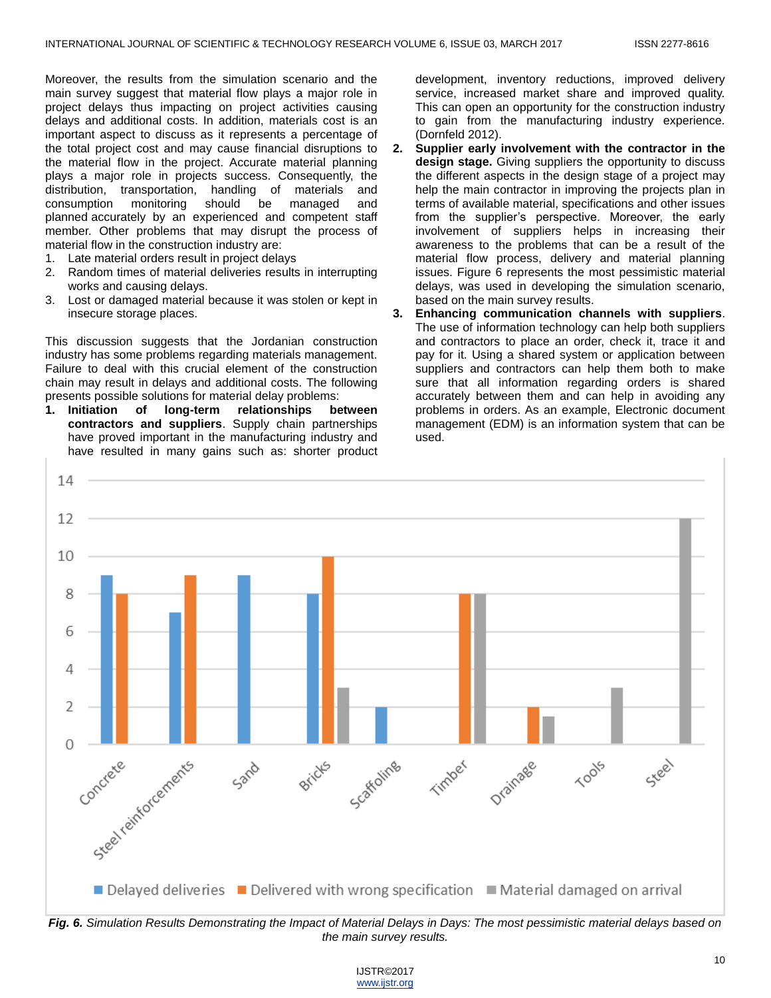Moreover, the results from the simulation scenario and the main survey suggest that material flow plays a major role in project delays thus impacting on project activities causing delays and additional costs. In addition, materials cost is an important aspect to discuss as it represents a percentage of the total project cost and may cause financial disruptions to the material flow in the project. Accurate material planning plays a major role in projects success. Consequently, the distribution, transportation, handling of materials and consumption monitoring should be managed and planned accurately by an experienced and competent staff member. Other problems that may disrupt the process of material flow in the construction industry are:

- 1. Late material orders result in project delays
- 2. Random times of material deliveries results in interrupting works and causing delays.
- 3. Lost or damaged material because it was stolen or kept in insecure storage places.

This discussion suggests that the Jordanian construction industry has some problems regarding materials management. Failure to deal with this crucial element of the construction chain may result in delays and additional costs. The following presents possible solutions for material delay problems:

**1. Initiation of long-term relationships between contractors and suppliers**. Supply chain partnerships have proved important in the manufacturing industry and have resulted in many gains such as: shorter product development, inventory reductions, improved delivery service, increased market share and improved quality. This can open an opportunity for the construction industry to gain from the manufacturing industry experience. (Dornfeld 2012).

- **2. Supplier early involvement with the contractor in the design stage.** Giving suppliers the opportunity to discuss the different aspects in the design stage of a project may help the main contractor in improving the projects plan in terms of available material, specifications and other issues from the supplier's perspective. Moreover, the early involvement of suppliers helps in increasing their awareness to the problems that can be a result of the material flow process, delivery and material planning issues. Figure 6 represents the most pessimistic material delays, was used in developing the simulation scenario, based on the main survey results.
- **3. Enhancing communication channels with suppliers**. The use of information technology can help both suppliers and contractors to place an order, check it, trace it and pay for it. Using a shared system or application between suppliers and contractors can help them both to make sure that all information regarding orders is shared accurately between them and can help in avoiding any problems in orders. As an example, Electronic document management (EDM) is an information system that can be used.



IJSTR©2017 www.ijstr.org